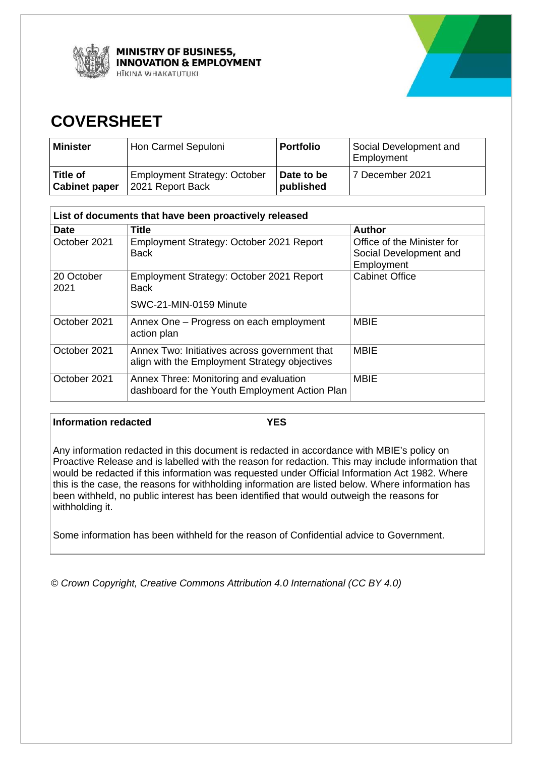

**MINISTRY OF BUSINESS, NNOVATION & EMPLOYMENT** HĪKINA WHAKATUTUKI



# **COVERSHEET**

| Minister             | Hon Carmel Sepuloni                 | <b>Portfolio</b> | Social Development and<br>Employment |
|----------------------|-------------------------------------|------------------|--------------------------------------|
| Title of             | <b>Employment Strategy: October</b> | Date to be       | 7 December 2021                      |
| <b>Cabinet paper</b> | 2021 Report Back                    | published        |                                      |

| List of documents that have been proactively released |                                                                                                |                                                                    |  |
|-------------------------------------------------------|------------------------------------------------------------------------------------------------|--------------------------------------------------------------------|--|
| <b>Date</b>                                           | <b>Title</b>                                                                                   | <b>Author</b>                                                      |  |
| October 2021                                          | Employment Strategy: October 2021 Report<br><b>Back</b>                                        | Office of the Minister for<br>Social Development and<br>Employment |  |
| 20 October<br>2021                                    | Employment Strategy: October 2021 Report<br><b>Back</b>                                        | <b>Cabinet Office</b>                                              |  |
|                                                       | SWC-21-MIN-0159 Minute                                                                         |                                                                    |  |
| October 2021                                          | Annex One - Progress on each employment<br>action plan                                         | <b>MBIE</b>                                                        |  |
| October 2021                                          | Annex Two: Initiatives across government that<br>align with the Employment Strategy objectives | <b>MBIE</b>                                                        |  |
| October 2021                                          | Annex Three: Monitoring and evaluation<br>dashboard for the Youth Employment Action Plan       | <b>MBIE</b>                                                        |  |

### **Information redacted YES**

Any information redacted in this document is redacted in accordance with MBIE's policy on Proactive Release and is labelled with the reason for redaction. This may include information that would be redacted if this information was requested under Official Information Act 1982. Where this is the case, the reasons for withholding information are listed below. Where information has been withheld, no public interest has been identified that would outweigh the reasons for withholding it.

Some information has been withheld for the reason of Confidential advice to Government.

*© Crown Copyright, Creative Commons Attribution 4.0 International (CC BY 4.0)*